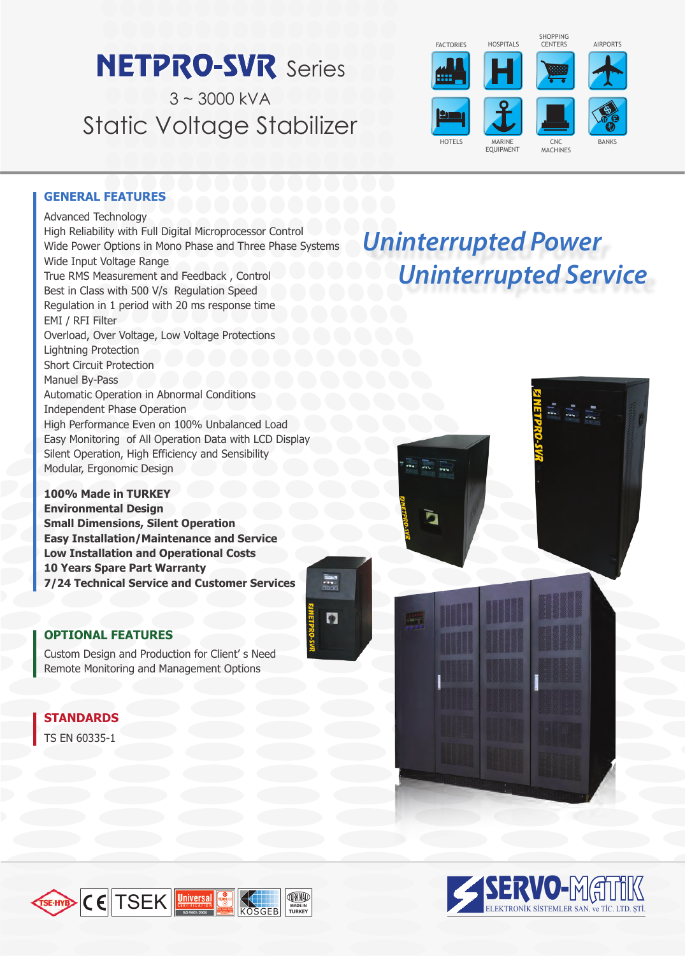# **NETPRO-SVR** Series

 $3 - 3000$  kVA Static Voltage Stabilizer





Advanced Technology High Reliability with Full Digital Microprocessor Control Wide Power Options in Mono Phase and Three Phase Systems Wide Input Voltage Range True RMS Measurement and Feedback , Control Best in Class with 500 V/s Regulation Speed Regulation in 1 period with 20 ms response time EMI / RFI Filter Overload, Over Voltage, Low Voltage Protections Lightning Protection Short Circuit Protection Manuel By-Pass Automatic Operation in Abnormal Conditions Independent Phase Operation High Performance Even on 100% Unbalanced Load Easy Monitoring of All Operation Data with LCD Display Silent Operation, High Efficiency and Sensibility Modular, Ergonomic Design

**100% Made in TURKEY Environmental Design Small Dimensions, Silent Operation Easy Installation/Maintenance and Service Low Installation and Operational Costs 10 Years Spare Part Warranty 7/24 Technical Service and Customer Services**

 $\overline{\phantom{a}}$ 

 $\bullet$ 

# **OPTIONAL FEATURES**

Custom Design and Production for Client' s Need Remote Monitoring and Management Options

# **STANDARDS**

TS EN 60335-1